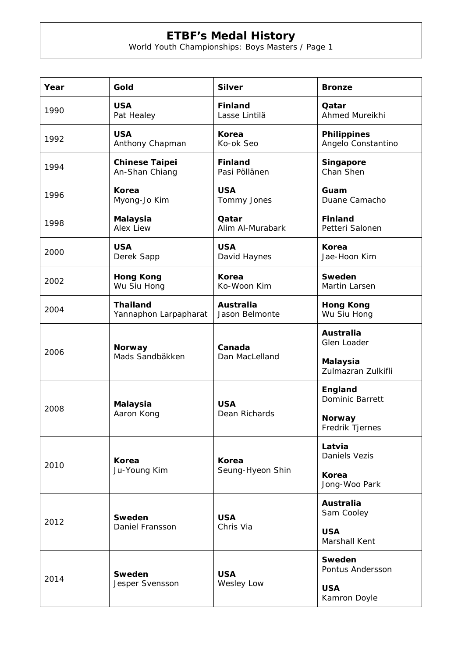## **ETBF's Medal History**

World Youth Championships: Boys Masters / Page 1

| Year | Gold                             | <b>Silver</b>               | <b>Bronze</b>                                                            |
|------|----------------------------------|-----------------------------|--------------------------------------------------------------------------|
| 1990 | <b>USA</b>                       | <b>Finland</b>              | Qatar                                                                    |
|      | Pat Healey                       | Lasse Lintilä               | Ahmed Mureikhi                                                           |
| 1992 | <b>USA</b>                       | Korea                       | <b>Philippines</b>                                                       |
|      | Anthony Chapman                  | Ko-ok Seo                   | Angelo Constantino                                                       |
| 1994 | <b>Chinese Taipei</b>            | <b>Finland</b>              | Singapore                                                                |
|      | An-Shan Chiang                   | Pasi Pöllänen               | Chan Shen                                                                |
| 1996 | Korea                            | <b>USA</b>                  | Guam                                                                     |
|      | Myong-Jo Kim                     | Tommy Jones                 | Duane Camacho                                                            |
| 1998 | <b>Malaysia</b>                  | Qatar                       | <b>Finland</b>                                                           |
|      | <b>Alex Liew</b>                 | Alim Al-Murabark            | Petteri Salonen                                                          |
| 2000 | <b>USA</b>                       | <b>USA</b>                  | Korea                                                                    |
|      | Derek Sapp                       | David Haynes                | Jae-Hoon Kim                                                             |
| 2002 | <b>Hong Kong</b>                 | Korea                       | Sweden                                                                   |
|      | Wu Siu Hong                      | Ko-Woon Kim                 | Martin Larsen                                                            |
| 2004 | <b>Thailand</b>                  | <b>Australia</b>            | <b>Hong Kong</b>                                                         |
|      | Yannaphon Larpapharat            | Jason Belmonte              | Wu Siu Hong                                                              |
| 2006 | <b>Norway</b><br>Mads Sandbäkken | Canada<br>Dan MacLelland    | <b>Australia</b><br>Glen Loader<br><b>Malaysia</b><br>Zulmazran Zulkifli |
| 2008 | <b>Malaysia</b><br>Aaron Kong    | <b>USA</b><br>Dean Richards | England<br>Dominic Barrett<br><b>Norway</b><br>Fredrik Tjernes           |
| 2010 | Korea<br>Ju-Young Kim            | Korea<br>Seung-Hyeon Shin   | Latvia<br><b>Daniels Vezis</b><br>Korea<br>Jong-Woo Park                 |
| 2012 | Sweden<br>Daniel Fransson        | <b>USA</b><br>Chris Via     | Australia<br>Sam Cooley<br><b>USA</b><br>Marshall Kent                   |
| 2014 | Sweden<br>Jesper Svensson        | <b>USA</b><br>Wesley Low    | Sweden<br>Pontus Andersson<br><b>USA</b><br>Kamron Doyle                 |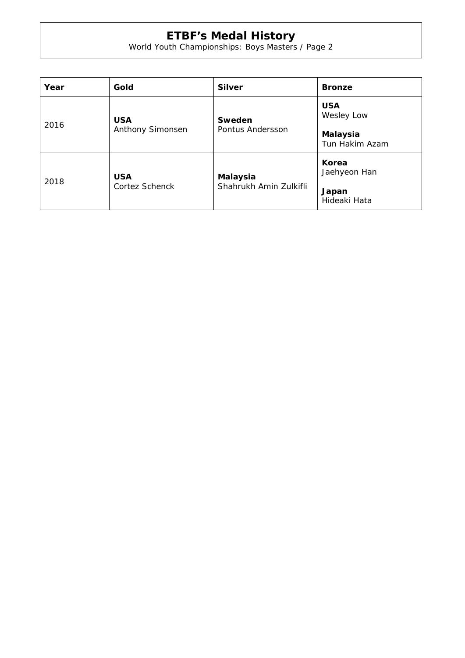## **ETBF's Medal History**

World Youth Championships: Boys Masters / Page 2

| Year | Gold                                | <b>Silver</b>                             | <b>Bronze</b>                                          |
|------|-------------------------------------|-------------------------------------------|--------------------------------------------------------|
| 2016 | <b>USA</b><br>Anthony Simonsen      | Sweden<br>Pontus Andersson                | <b>USA</b><br>Wesley Low<br>Malaysia<br>Tun Hakim Azam |
| 2018 | <b>USA</b><br><b>Cortez Schenck</b> | <b>Malaysia</b><br>Shahrukh Amin Zulkifli | Korea<br>Jaehyeon Han<br>Japan<br>Hideaki Hata         |